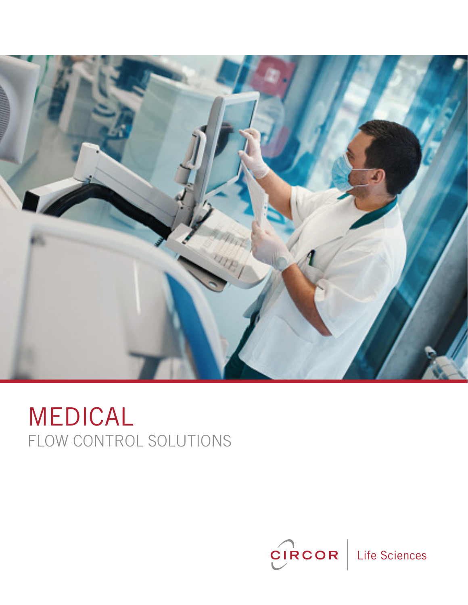

# FLOW CONTROL SOLUTIONS MEDICAL

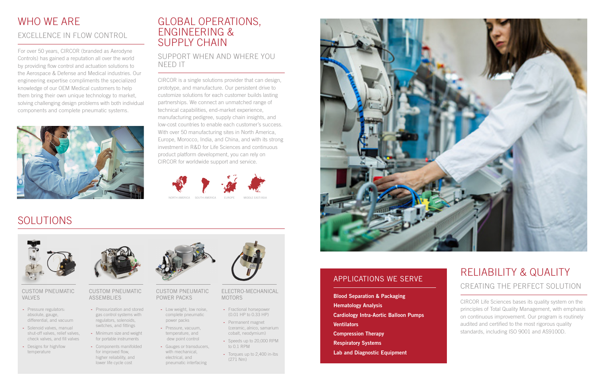#### CUSTOM PNEUMATIC VALVES

#### CUSTOM PNEUMATIC ASSEMBLIES

#### CUSTOM PNEUMATIC POWER PACKS

### WHO WF ARF EXCELLENCE IN FLOW CONTROL

#### ELECTRO-MECHANICAL MOTORS

For over 50 years, CIRCOR (branded as Aerodyne Controls) has gained a reputation all over the world by providing flow control and actuation solutions to the Aerospace & Defense and Medical industries. Our engineering expertise compliments the specialized knowledge of our OEM Medical customers to help them bring their own unique technology to market, solving challenging design problems with both individual components and complete pneumatic systems.



### GLOBAL OPERATIONS, ENGINEERING & SUPPLY CHAIN

### SUPPORT WHEN AND WHERE YOU NEED IT

CIRCOR is a single solutions provider that can design, prototype, and manufacture. Our persistent drive to customize solutions for each customer builds lasting partnerships. We connect an unmatched range of technical capabilities, end-market experience, manufacturing pedigree, supply chain insights, and low-cost countries to enable each customer's success. With over 50 manufacturing sites in North America, Europe, Morocco, India, and China, and with its strong investment in R&D for Life Sciences and continuous product platform development, you can rely on CIRCOR for worldwide support and service.

## RELIABILITY & QUALITY CREATING THE PERFECT SOLUTION

CIRCOR Life Sciences bases its quality system on the principles of Total Quality Management, with emphasis on continuous improvement. Our program is routinely audited and certified to the most rigorous quality standards, including ISO 9001 and AS9100D.

## SOLUTIONS



- **-** Pressure regulators: absolute, gauge, differential, and vacuum
- **-** Solenoid valves, manual shut-off valves, relief valves, check valves, and fill valves
- **-** Designs for high/low temperature



- **-** Pressurization and stored gas control systems with regulators, solenoids, switches, and fittings
- **-** Minimum size and weight for portable instruments
- **-** Components manifolded for improved flow, higher reliability, and lower life cycle cost



- **-** Low weight, low noise, complete pneumatic power packs
- **-** Pressure, vacuum, temperature, and dew point control
- **-** Gauges or transducers, with mechanical, electrical, and pneumatic interfacing



- **-** Fractional horsepower (0.01 HP to 0.33 HP)
- **-** Permanent magnet (ceramic, alnico, samarium cobalt, neodymium)
- **-** Speeds up to 20,000 RPM to 0.1 RPM
- **-** Torques up to 2,400 in-lbs (271 Nm)



### APPLICATIONS WE SERVE

Blood Separation & Packaging Hematology Analysis Cardiology Intra-Aortic Balloon Pumps **Ventilators** Compression Therapy Respiratory Systems Lab and Diagnostic Equipment